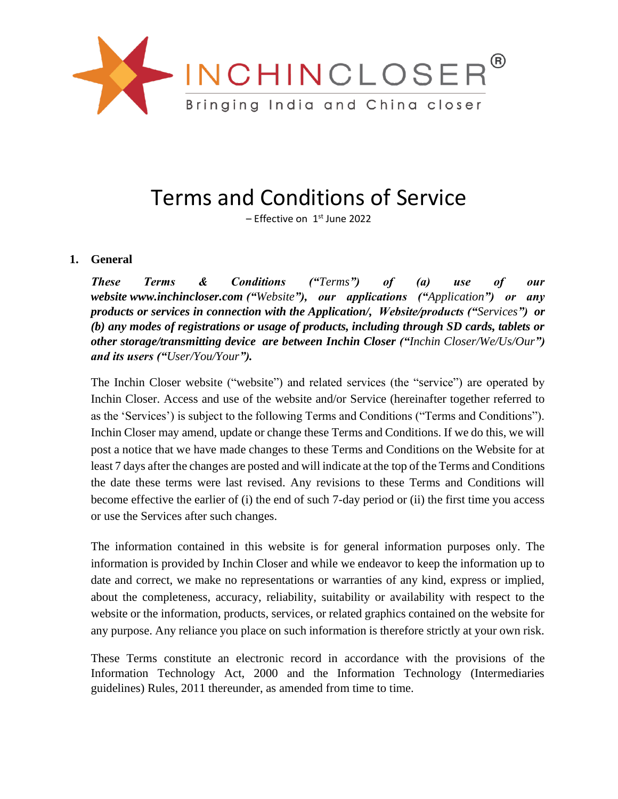

# Terms and Conditions of Service

– Effective on 1st June 2022

#### **1. General**

*These Terms & Conditions ("Terms") of (a) use of our website www.inchincloser.com ("Website"), our applications ("Application") or any products or services in connection with the Application/, Website/products ("Services") or (b) any modes of registrations or usage of products, including through SD cards, tablets or other storage/transmitting device are between Inchin Closer ("Inchin Closer/We/Us/Our") and its users ("User/You/Your").*

The Inchin Closer website ("website") and related services (the "service") are operated by Inchin Closer. Access and use of the website and/or Service (hereinafter together referred to as the 'Services') is subject to the following Terms and Conditions ("Terms and Conditions"). Inchin Closer may amend, update or change these Terms and Conditions. If we do this, we will post a notice that we have made changes to these Terms and Conditions on the Website for at least 7 days after the changes are posted and will indicate at the top of the Terms and Conditions the date these terms were last revised. Any revisions to these Terms and Conditions will become effective the earlier of (i) the end of such 7-day period or (ii) the first time you access or use the Services after such changes.

The information contained in this website is for general information purposes only. The information is provided by Inchin Closer and while we endeavor to keep the information up to date and correct, we make no representations or warranties of any kind, express or implied, about the completeness, accuracy, reliability, suitability or availability with respect to the website or the information, products, services, or related graphics contained on the website for any purpose. Any reliance you place on such information is therefore strictly at your own risk.

These Terms constitute an electronic record in accordance with the provisions of the Information Technology Act, 2000 and the Information Technology (Intermediaries guidelines) Rules, 2011 thereunder, as amended from time to time.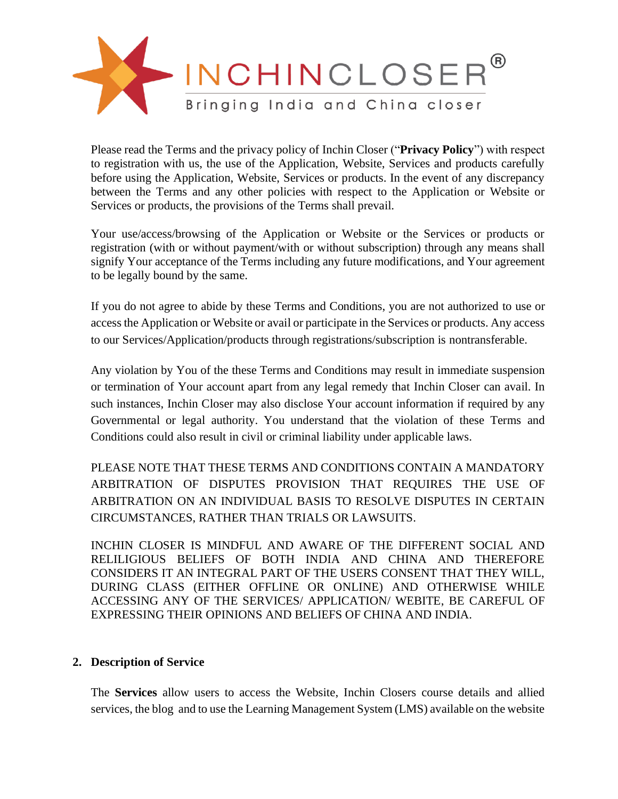

Please read the Terms and the privacy policy of Inchin Closer ("**Privacy Policy**") with respect to registration with us, the use of the Application, Website, Services and products carefully before using the Application, Website, Services or products. In the event of any discrepancy between the Terms and any other policies with respect to the Application or Website or Services or products, the provisions of the Terms shall prevail.

Your use/access/browsing of the Application or Website or the Services or products or registration (with or without payment/with or without subscription) through any means shall signify Your acceptance of the Terms including any future modifications, and Your agreement to be legally bound by the same.

If you do not agree to abide by these Terms and Conditions, you are not authorized to use or access the Application or Website or avail or participate in the Services or products. Any access to our Services/Application/products through registrations/subscription is nontransferable.

Any violation by You of the these Terms and Conditions may result in immediate suspension or termination of Your account apart from any legal remedy that Inchin Closer can avail. In such instances, Inchin Closer may also disclose Your account information if required by any Governmental or legal authority. You understand that the violation of these Terms and Conditions could also result in civil or criminal liability under applicable laws.

PLEASE NOTE THAT THESE TERMS AND CONDITIONS CONTAIN A MANDATORY ARBITRATION OF DISPUTES PROVISION THAT REQUIRES THE USE OF ARBITRATION ON AN INDIVIDUAL BASIS TO RESOLVE DISPUTES IN CERTAIN CIRCUMSTANCES, RATHER THAN TRIALS OR LAWSUITS.

INCHIN CLOSER IS MINDFUL AND AWARE OF THE DIFFERENT SOCIAL AND RELILIGIOUS BELIEFS OF BOTH INDIA AND CHINA AND THEREFORE CONSIDERS IT AN INTEGRAL PART OF THE USERS CONSENT THAT THEY WILL, DURING CLASS (EITHER OFFLINE OR ONLINE) AND OTHERWISE WHILE ACCESSING ANY OF THE SERVICES/ APPLICATION/ WEBITE, BE CAREFUL OF EXPRESSING THEIR OPINIONS AND BELIEFS OF CHINA AND INDIA.

#### **2. Description of Service**

The **Services** allow users to access the Website, Inchin Closers course details and allied services, the blog and to use the Learning Management System (LMS) available on the website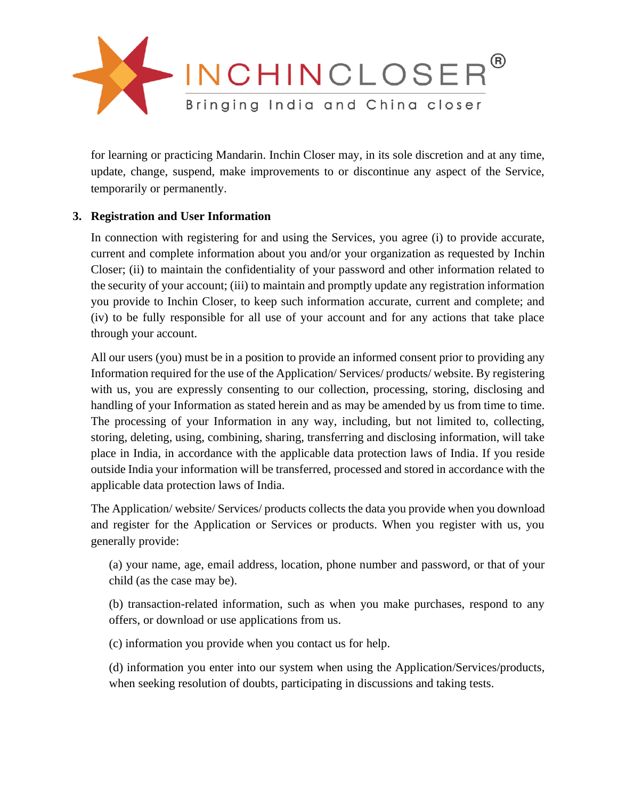

for learning or practicing Mandarin. Inchin Closer may, in its sole discretion and at any time, update, change, suspend, make improvements to or discontinue any aspect of the Service, temporarily or permanently.

# **3. Registration and User Information**

In connection with registering for and using the Services, you agree (i) to provide accurate, current and complete information about you and/or your organization as requested by Inchin Closer; (ii) to maintain the confidentiality of your password and other information related to the security of your account; (iii) to maintain and promptly update any registration information you provide to Inchin Closer, to keep such information accurate, current and complete; and (iv) to be fully responsible for all use of your account and for any actions that take place through your account.

All our users (you) must be in a position to provide an informed consent prior to providing any Information required for the use of the Application/ Services/ products/ website. By registering with us, you are expressly consenting to our collection, processing, storing, disclosing and handling of your Information as stated herein and as may be amended by us from time to time. The processing of your Information in any way, including, but not limited to, collecting, storing, deleting, using, combining, sharing, transferring and disclosing information, will take place in India, in accordance with the applicable data protection laws of India. If you reside outside India your information will be transferred, processed and stored in accordance with the applicable data protection laws of India.

The Application/ website/ Services/ products collects the data you provide when you download and register for the Application or Services or products. When you register with us, you generally provide:

(a) your name, age, email address, location, phone number and password, or that of your child (as the case may be).

(b) transaction-related information, such as when you make purchases, respond to any offers, or download or use applications from us.

(c) information you provide when you contact us for help.

(d) information you enter into our system when using the Application/Services/products, when seeking resolution of doubts, participating in discussions and taking tests.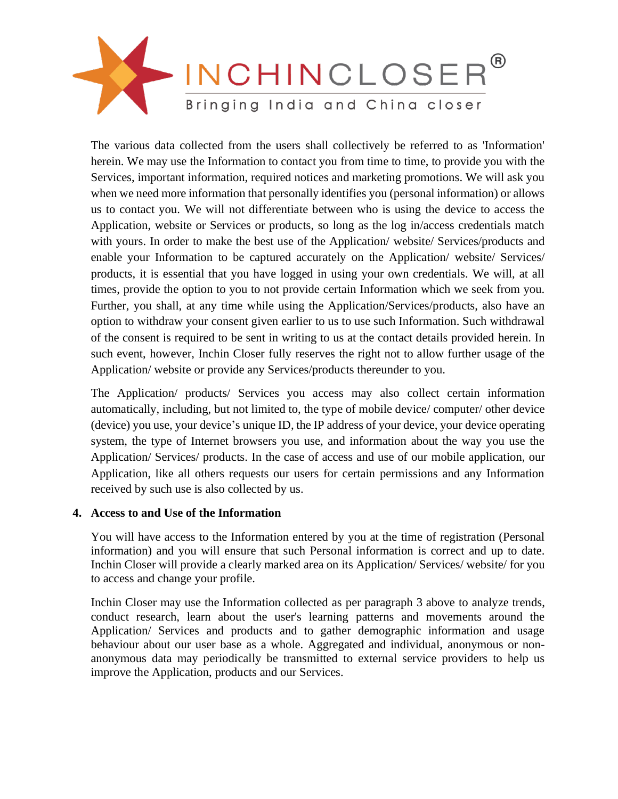

The various data collected from the users shall collectively be referred to as 'Information' herein. We may use the Information to contact you from time to time, to provide you with the Services, important information, required notices and marketing promotions. We will ask you when we need more information that personally identifies you (personal information) or allows us to contact you. We will not differentiate between who is using the device to access the Application, website or Services or products, so long as the log in/access credentials match with yours. In order to make the best use of the Application/ website/ Services/products and enable your Information to be captured accurately on the Application/ website/ Services/ products, it is essential that you have logged in using your own credentials. We will, at all times, provide the option to you to not provide certain Information which we seek from you. Further, you shall, at any time while using the Application/Services/products, also have an option to withdraw your consent given earlier to us to use such Information. Such withdrawal of the consent is required to be sent in writing to us at the contact details provided herein. In such event, however, Inchin Closer fully reserves the right not to allow further usage of the Application/ website or provide any Services/products thereunder to you.

The Application/ products/ Services you access may also collect certain information automatically, including, but not limited to, the type of mobile device/ computer/ other device (device) you use, your device's unique ID, the IP address of your device, your device operating system, the type of Internet browsers you use, and information about the way you use the Application/ Services/ products. In the case of access and use of our mobile application, our Application, like all others requests our users for certain permissions and any Information received by such use is also collected by us.

# **4. Access to and Use of the Information**

You will have access to the Information entered by you at the time of registration (Personal information) and you will ensure that such Personal information is correct and up to date. Inchin Closer will provide a clearly marked area on its Application/ Services/ website/ for you to access and change your profile.

Inchin Closer may use the Information collected as per paragraph 3 above to analyze trends, conduct research, learn about the user's learning patterns and movements around the Application/ Services and products and to gather demographic information and usage behaviour about our user base as a whole. Aggregated and individual, anonymous or nonanonymous data may periodically be transmitted to external service providers to help us improve the Application, products and our Services.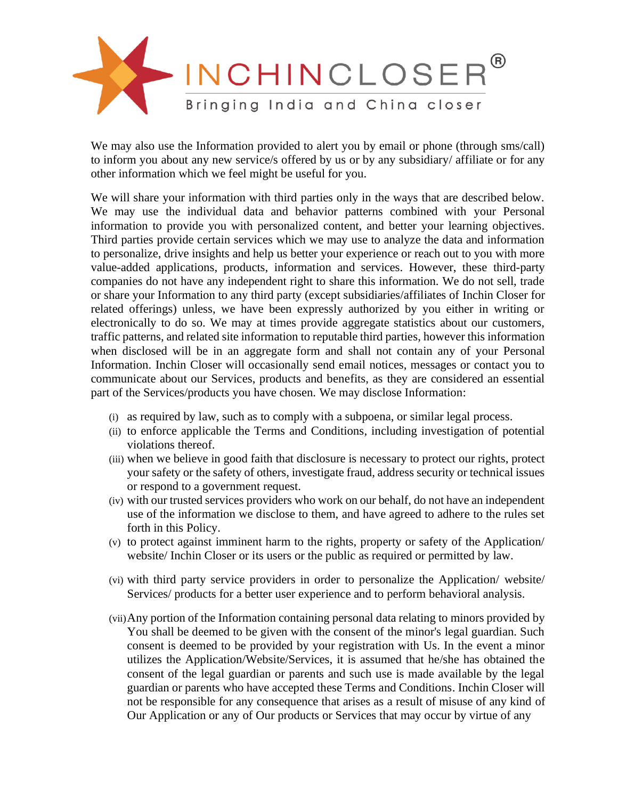

We may also use the Information provided to alert you by email or phone (through sms/call) to inform you about any new service/s offered by us or by any subsidiary/ affiliate or for any other information which we feel might be useful for you.

We will share your information with third parties only in the ways that are described below. We may use the individual data and behavior patterns combined with your Personal information to provide you with personalized content, and better your learning objectives. Third parties provide certain services which we may use to analyze the data and information to personalize, drive insights and help us better your experience or reach out to you with more value-added applications, products, information and services. However, these third-party companies do not have any independent right to share this information. We do not sell, trade or share your Information to any third party (except subsidiaries/affiliates of Inchin Closer for related offerings) unless, we have been expressly authorized by you either in writing or electronically to do so. We may at times provide aggregate statistics about our customers, traffic patterns, and related site information to reputable third parties, however this information when disclosed will be in an aggregate form and shall not contain any of your Personal Information. Inchin Closer will occasionally send email notices, messages or contact you to communicate about our Services, products and benefits, as they are considered an essential part of the Services/products you have chosen. We may disclose Information:

- (i) as required by law, such as to comply with a subpoena, or similar legal process.
- (ii) to enforce applicable the Terms and Conditions, including investigation of potential violations thereof.
- (iii) when we believe in good faith that disclosure is necessary to protect our rights, protect your safety or the safety of others, investigate fraud, address security or technical issues or respond to a government request.
- (iv) with our trusted services providers who work on our behalf, do not have an independent use of the information we disclose to them, and have agreed to adhere to the rules set forth in this Policy.
- (v) to protect against imminent harm to the rights, property or safety of the Application/ website/ Inchin Closer or its users or the public as required or permitted by law.
- (vi) with third party service providers in order to personalize the Application/ website/ Services/ products for a better user experience and to perform behavioral analysis.
- (vii)Any portion of the Information containing personal data relating to minors provided by You shall be deemed to be given with the consent of the minor's legal guardian. Such consent is deemed to be provided by your registration with Us. In the event a minor utilizes the Application/Website/Services, it is assumed that he/she has obtained the consent of the legal guardian or parents and such use is made available by the legal guardian or parents who have accepted these Terms and Conditions. Inchin Closer will not be responsible for any consequence that arises as a result of misuse of any kind of Our Application or any of Our products or Services that may occur by virtue of any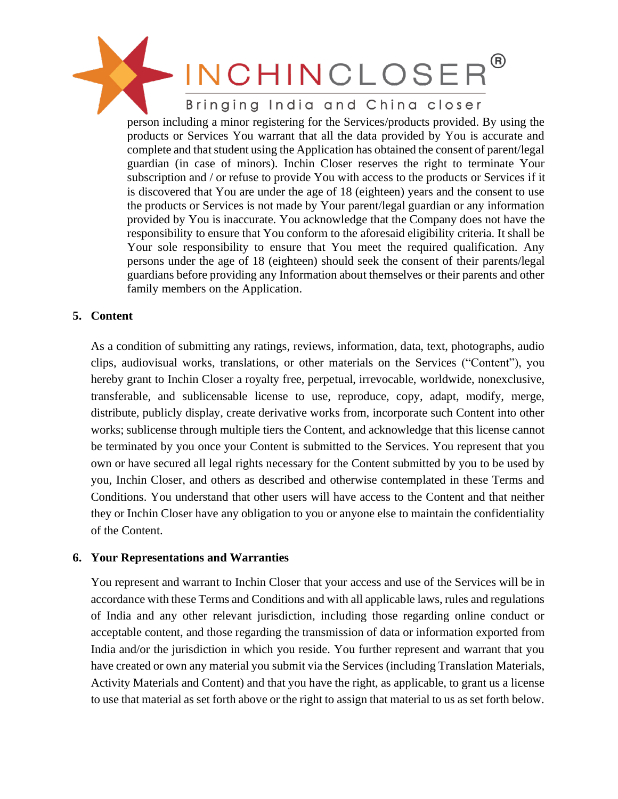# INCHINCLOSER Bringing India and China closer person including a minor registering for the Services/products provided. By using the products or Services You warrant that all the data provided by You is accurate and complete and that student using the Application has obtained the consent of parent/legal guardian (in case of minors). Inchin Closer reserves the right to terminate Your subscription and / or refuse to provide You with access to the products or Services if it is discovered that You are under the age of 18 (eighteen) years and the consent to use the products or Services is not made by Your parent/legal guardian or any information provided by You is inaccurate. You acknowledge that the Company does not have the responsibility to ensure that You conform to the aforesaid eligibility criteria. It shall be Your sole responsibility to ensure that You meet the required qualification. Any persons under the age of 18 (eighteen) should seek the consent of their parents/legal guardians before providing any Information about themselves or their parents and other family members on the Application.

# **5. Content**

As a condition of submitting any ratings, reviews, information, data, text, photographs, audio clips, audiovisual works, translations, or other materials on the Services ("Content"), you hereby grant to Inchin Closer a royalty free, perpetual, irrevocable, worldwide, nonexclusive, transferable, and sublicensable license to use, reproduce, copy, adapt, modify, merge, distribute, publicly display, create derivative works from, incorporate such Content into other works; sublicense through multiple tiers the Content, and acknowledge that this license cannot be terminated by you once your Content is submitted to the Services. You represent that you own or have secured all legal rights necessary for the Content submitted by you to be used by you, Inchin Closer, and others as described and otherwise contemplated in these Terms and Conditions. You understand that other users will have access to the Content and that neither they or Inchin Closer have any obligation to you or anyone else to maintain the confidentiality of the Content.

#### **6. Your Representations and Warranties**

You represent and warrant to Inchin Closer that your access and use of the Services will be in accordance with these Terms and Conditions and with all applicable laws, rules and regulations of India and any other relevant jurisdiction, including those regarding online conduct or acceptable content, and those regarding the transmission of data or information exported from India and/or the jurisdiction in which you reside. You further represent and warrant that you have created or own any material you submit via the Services (including Translation Materials, Activity Materials and Content) and that you have the right, as applicable, to grant us a license to use that material as set forth above or the right to assign that material to us as set forth below.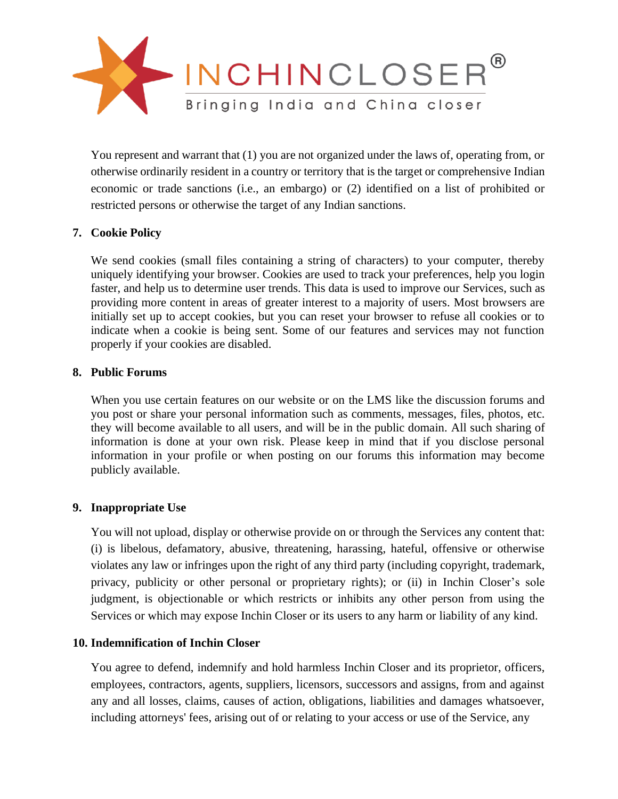

You represent and warrant that (1) you are not organized under the laws of, operating from, or otherwise ordinarily resident in a country or territory that is the target or comprehensive Indian economic or trade sanctions (i.e., an embargo) or (2) identified on a list of prohibited or restricted persons or otherwise the target of any Indian sanctions.

# **7. Cookie Policy**

We send cookies (small files containing a string of characters) to your computer, thereby uniquely identifying your browser. Cookies are used to track your preferences, help you login faster, and help us to determine user trends. This data is used to improve our Services, such as providing more content in areas of greater interest to a majority of users. Most browsers are initially set up to accept cookies, but you can reset your browser to refuse all cookies or to indicate when a cookie is being sent. Some of our features and services may not function properly if your cookies are disabled.

# **8. Public Forums**

When you use certain features on our website or on the LMS like the discussion forums and you post or share your personal information such as comments, messages, files, photos, etc. they will become available to all users, and will be in the public domain. All such sharing of information is done at your own risk. Please keep in mind that if you disclose personal information in your profile or when posting on our forums this information may become publicly available.

# **9. Inappropriate Use**

You will not upload, display or otherwise provide on or through the Services any content that: (i) is libelous, defamatory, abusive, threatening, harassing, hateful, offensive or otherwise violates any law or infringes upon the right of any third party (including copyright, trademark, privacy, publicity or other personal or proprietary rights); or (ii) in Inchin Closer's sole judgment, is objectionable or which restricts or inhibits any other person from using the Services or which may expose Inchin Closer or its users to any harm or liability of any kind.

#### **10. Indemnification of Inchin Closer**

You agree to defend, indemnify and hold harmless Inchin Closer and its proprietor, officers, employees, contractors, agents, suppliers, licensors, successors and assigns, from and against any and all losses, claims, causes of action, obligations, liabilities and damages whatsoever, including attorneys' fees, arising out of or relating to your access or use of the Service, any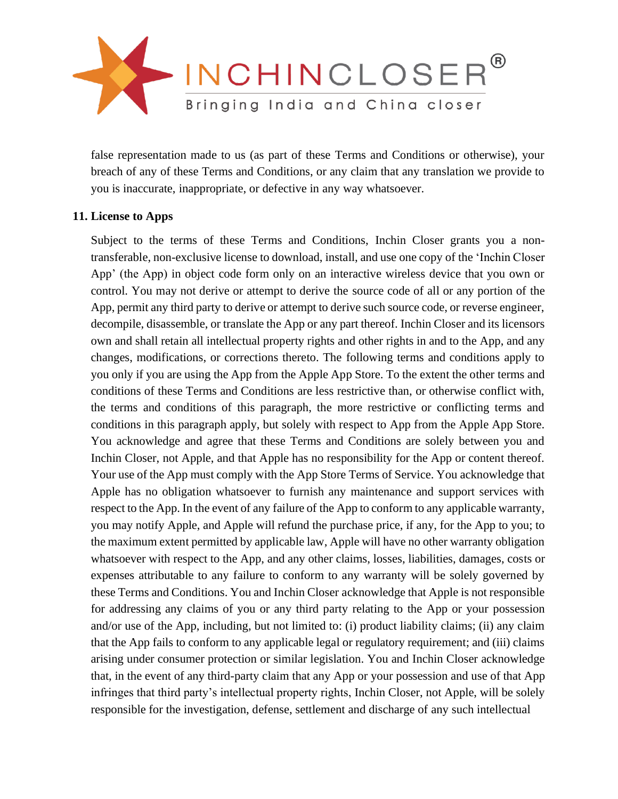

false representation made to us (as part of these Terms and Conditions or otherwise), your breach of any of these Terms and Conditions, or any claim that any translation we provide to you is inaccurate, inappropriate, or defective in any way whatsoever.

# **11. License to Apps**

Subject to the terms of these Terms and Conditions, Inchin Closer grants you a nontransferable, non-exclusive license to download, install, and use one copy of the 'Inchin Closer App' (the App) in object code form only on an interactive wireless device that you own or control. You may not derive or attempt to derive the source code of all or any portion of the App, permit any third party to derive or attempt to derive such source code, or reverse engineer, decompile, disassemble, or translate the App or any part thereof. Inchin Closer and its licensors own and shall retain all intellectual property rights and other rights in and to the App, and any changes, modifications, or corrections thereto. The following terms and conditions apply to you only if you are using the App from the Apple App Store. To the extent the other terms and conditions of these Terms and Conditions are less restrictive than, or otherwise conflict with, the terms and conditions of this paragraph, the more restrictive or conflicting terms and conditions in this paragraph apply, but solely with respect to App from the Apple App Store. You acknowledge and agree that these Terms and Conditions are solely between you and Inchin Closer, not Apple, and that Apple has no responsibility for the App or content thereof. Your use of the App must comply with the App Store Terms of Service. You acknowledge that Apple has no obligation whatsoever to furnish any maintenance and support services with respect to the App. In the event of any failure of the App to conform to any applicable warranty, you may notify Apple, and Apple will refund the purchase price, if any, for the App to you; to the maximum extent permitted by applicable law, Apple will have no other warranty obligation whatsoever with respect to the App, and any other claims, losses, liabilities, damages, costs or expenses attributable to any failure to conform to any warranty will be solely governed by these Terms and Conditions. You and Inchin Closer acknowledge that Apple is not responsible for addressing any claims of you or any third party relating to the App or your possession and/or use of the App, including, but not limited to: (i) product liability claims; (ii) any claim that the App fails to conform to any applicable legal or regulatory requirement; and (iii) claims arising under consumer protection or similar legislation. You and Inchin Closer acknowledge that, in the event of any third-party claim that any App or your possession and use of that App infringes that third party's intellectual property rights, Inchin Closer, not Apple, will be solely responsible for the investigation, defense, settlement and discharge of any such intellectual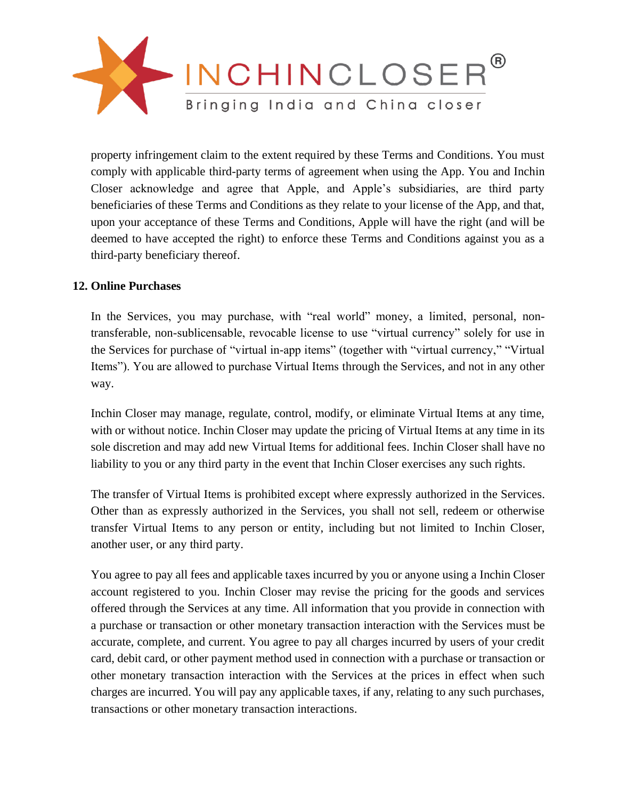

property infringement claim to the extent required by these Terms and Conditions. You must comply with applicable third-party terms of agreement when using the App. You and Inchin Closer acknowledge and agree that Apple, and Apple's subsidiaries, are third party beneficiaries of these Terms and Conditions as they relate to your license of the App, and that, upon your acceptance of these Terms and Conditions, Apple will have the right (and will be deemed to have accepted the right) to enforce these Terms and Conditions against you as a third-party beneficiary thereof.

# **12. Online Purchases**

In the Services, you may purchase, with "real world" money, a limited, personal, nontransferable, non-sublicensable, revocable license to use "virtual currency" solely for use in the Services for purchase of "virtual in-app items" (together with "virtual currency," "Virtual Items"). You are allowed to purchase Virtual Items through the Services, and not in any other way.

Inchin Closer may manage, regulate, control, modify, or eliminate Virtual Items at any time, with or without notice. Inchin Closer may update the pricing of Virtual Items at any time in its sole discretion and may add new Virtual Items for additional fees. Inchin Closer shall have no liability to you or any third party in the event that Inchin Closer exercises any such rights.

The transfer of Virtual Items is prohibited except where expressly authorized in the Services. Other than as expressly authorized in the Services, you shall not sell, redeem or otherwise transfer Virtual Items to any person or entity, including but not limited to Inchin Closer, another user, or any third party.

You agree to pay all fees and applicable taxes incurred by you or anyone using a Inchin Closer account registered to you. Inchin Closer may revise the pricing for the goods and services offered through the Services at any time. All information that you provide in connection with a purchase or transaction or other monetary transaction interaction with the Services must be accurate, complete, and current. You agree to pay all charges incurred by users of your credit card, debit card, or other payment method used in connection with a purchase or transaction or other monetary transaction interaction with the Services at the prices in effect when such charges are incurred. You will pay any applicable taxes, if any, relating to any such purchases, transactions or other monetary transaction interactions.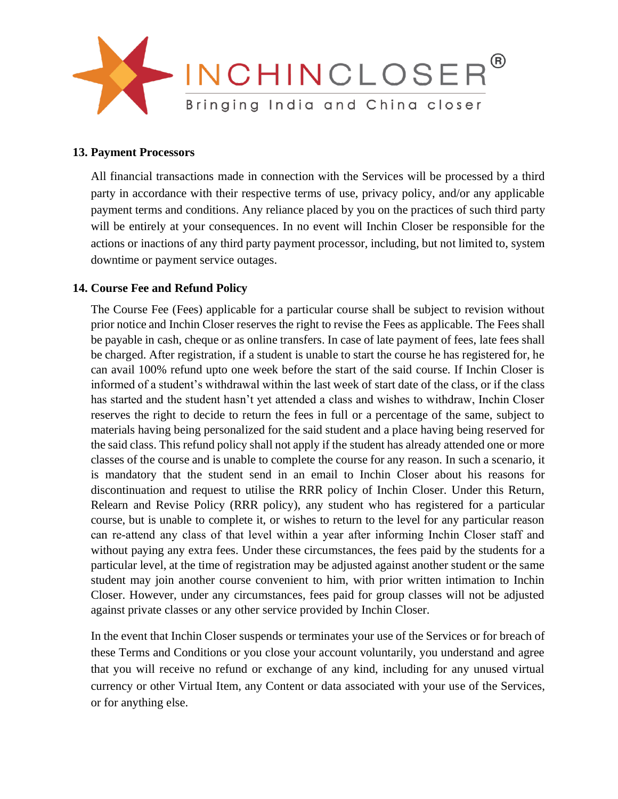

#### **13. Payment Processors**

All financial transactions made in connection with the Services will be processed by a third party in accordance with their respective terms of use, privacy policy, and/or any applicable payment terms and conditions. Any reliance placed by you on the practices of such third party will be entirely at your consequences. In no event will Inchin Closer be responsible for the actions or inactions of any third party payment processor, including, but not limited to, system downtime or payment service outages.

#### **14. Course Fee and Refund Policy**

The Course Fee (Fees) applicable for a particular course shall be subject to revision without prior notice and Inchin Closer reserves the right to revise the Fees as applicable. The Fees shall be payable in cash, cheque or as online transfers. In case of late payment of fees, late fees shall be charged. After registration, if a student is unable to start the course he has registered for, he can avail 100% refund upto one week before the start of the said course. If Inchin Closer is informed of a student's withdrawal within the last week of start date of the class, or if the class has started and the student hasn't yet attended a class and wishes to withdraw, Inchin Closer reserves the right to decide to return the fees in full or a percentage of the same, subject to materials having being personalized for the said student and a place having being reserved for the said class. This refund policy shall not apply if the student has already attended one or more classes of the course and is unable to complete the course for any reason. In such a scenario, it is mandatory that the student send in an email to Inchin Closer about his reasons for discontinuation and request to utilise the RRR policy of Inchin Closer. Under this Return, Relearn and Revise Policy (RRR policy), any student who has registered for a particular course, but is unable to complete it, or wishes to return to the level for any particular reason can re‐attend any class of that level within a year after informing Inchin Closer staff and without paying any extra fees. Under these circumstances, the fees paid by the students for a particular level, at the time of registration may be adjusted against another student or the same student may join another course convenient to him, with prior written intimation to Inchin Closer. However, under any circumstances, fees paid for group classes will not be adjusted against private classes or any other service provided by Inchin Closer.

In the event that Inchin Closer suspends or terminates your use of the Services or for breach of these Terms and Conditions or you close your account voluntarily, you understand and agree that you will receive no refund or exchange of any kind, including for any unused virtual currency or other Virtual Item, any Content or data associated with your use of the Services, or for anything else.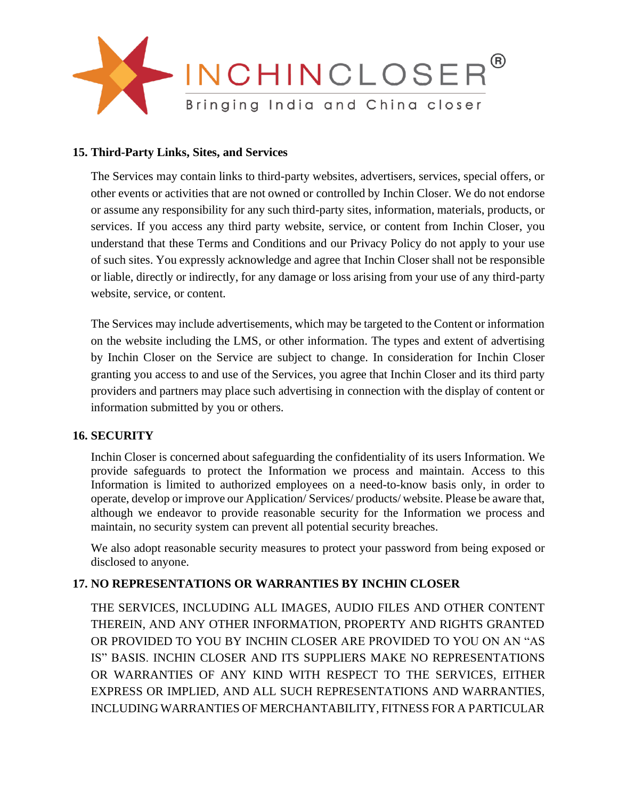

# **15. Third-Party Links, Sites, and Services**

The Services may contain links to third-party websites, advertisers, services, special offers, or other events or activities that are not owned or controlled by Inchin Closer. We do not endorse or assume any responsibility for any such third-party sites, information, materials, products, or services. If you access any third party website, service, or content from Inchin Closer, you understand that these Terms and Conditions and our Privacy Policy do not apply to your use of such sites. You expressly acknowledge and agree that Inchin Closer shall not be responsible or liable, directly or indirectly, for any damage or loss arising from your use of any third-party website, service, or content.

The Services may include advertisements, which may be targeted to the Content or information on the website including the LMS, or other information. The types and extent of advertising by Inchin Closer on the Service are subject to change. In consideration for Inchin Closer granting you access to and use of the Services, you agree that Inchin Closer and its third party providers and partners may place such advertising in connection with the display of content or information submitted by you or others.

#### **16. SECURITY**

Inchin Closer is concerned about safeguarding the confidentiality of its users Information. We provide safeguards to protect the Information we process and maintain. Access to this Information is limited to authorized employees on a need-to-know basis only, in order to operate, develop or improve our Application/ Services/ products/ website. Please be aware that, although we endeavor to provide reasonable security for the Information we process and maintain, no security system can prevent all potential security breaches.

We also adopt reasonable security measures to protect your password from being exposed or disclosed to anyone.

# **17. NO REPRESENTATIONS OR WARRANTIES BY INCHIN CLOSER**

THE SERVICES, INCLUDING ALL IMAGES, AUDIO FILES AND OTHER CONTENT THEREIN, AND ANY OTHER INFORMATION, PROPERTY AND RIGHTS GRANTED OR PROVIDED TO YOU BY INCHIN CLOSER ARE PROVIDED TO YOU ON AN "AS IS" BASIS. INCHIN CLOSER AND ITS SUPPLIERS MAKE NO REPRESENTATIONS OR WARRANTIES OF ANY KIND WITH RESPECT TO THE SERVICES, EITHER EXPRESS OR IMPLIED, AND ALL SUCH REPRESENTATIONS AND WARRANTIES, INCLUDING WARRANTIES OF MERCHANTABILITY, FITNESS FOR A PARTICULAR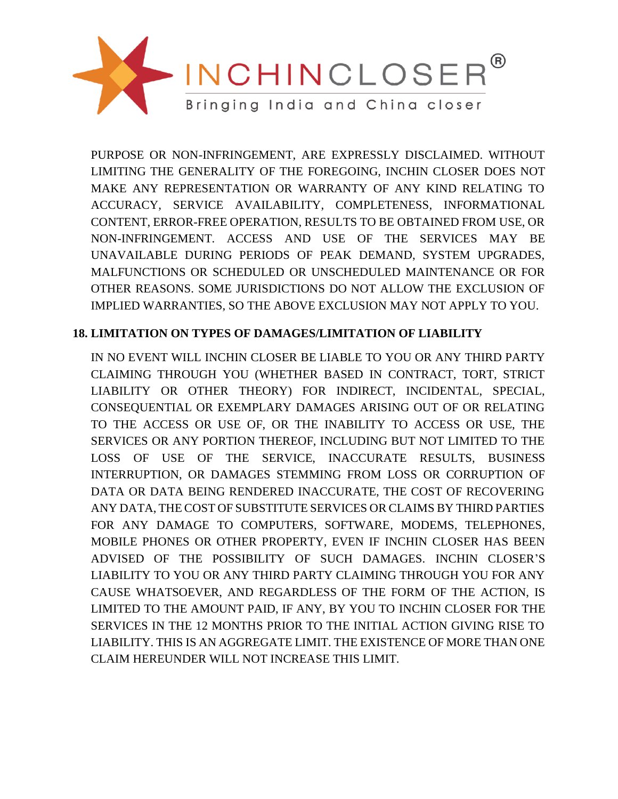

PURPOSE OR NON-INFRINGEMENT, ARE EXPRESSLY DISCLAIMED. WITHOUT LIMITING THE GENERALITY OF THE FOREGOING, INCHIN CLOSER DOES NOT MAKE ANY REPRESENTATION OR WARRANTY OF ANY KIND RELATING TO ACCURACY, SERVICE AVAILABILITY, COMPLETENESS, INFORMATIONAL CONTENT, ERROR-FREE OPERATION, RESULTS TO BE OBTAINED FROM USE, OR NON-INFRINGEMENT. ACCESS AND USE OF THE SERVICES MAY BE UNAVAILABLE DURING PERIODS OF PEAK DEMAND, SYSTEM UPGRADES, MALFUNCTIONS OR SCHEDULED OR UNSCHEDULED MAINTENANCE OR FOR OTHER REASONS. SOME JURISDICTIONS DO NOT ALLOW THE EXCLUSION OF IMPLIED WARRANTIES, SO THE ABOVE EXCLUSION MAY NOT APPLY TO YOU.

# **18. LIMITATION ON TYPES OF DAMAGES/LIMITATION OF LIABILITY**

IN NO EVENT WILL INCHIN CLOSER BE LIABLE TO YOU OR ANY THIRD PARTY CLAIMING THROUGH YOU (WHETHER BASED IN CONTRACT, TORT, STRICT LIABILITY OR OTHER THEORY) FOR INDIRECT, INCIDENTAL, SPECIAL, CONSEQUENTIAL OR EXEMPLARY DAMAGES ARISING OUT OF OR RELATING TO THE ACCESS OR USE OF, OR THE INABILITY TO ACCESS OR USE, THE SERVICES OR ANY PORTION THEREOF, INCLUDING BUT NOT LIMITED TO THE LOSS OF USE OF THE SERVICE, INACCURATE RESULTS, BUSINESS INTERRUPTION, OR DAMAGES STEMMING FROM LOSS OR CORRUPTION OF DATA OR DATA BEING RENDERED INACCURATE, THE COST OF RECOVERING ANY DATA, THE COST OF SUBSTITUTE SERVICES OR CLAIMS BY THIRD PARTIES FOR ANY DAMAGE TO COMPUTERS, SOFTWARE, MODEMS, TELEPHONES, MOBILE PHONES OR OTHER PROPERTY, EVEN IF INCHIN CLOSER HAS BEEN ADVISED OF THE POSSIBILITY OF SUCH DAMAGES. INCHIN CLOSER'S LIABILITY TO YOU OR ANY THIRD PARTY CLAIMING THROUGH YOU FOR ANY CAUSE WHATSOEVER, AND REGARDLESS OF THE FORM OF THE ACTION, IS LIMITED TO THE AMOUNT PAID, IF ANY, BY YOU TO INCHIN CLOSER FOR THE SERVICES IN THE 12 MONTHS PRIOR TO THE INITIAL ACTION GIVING RISE TO LIABILITY. THIS IS AN AGGREGATE LIMIT. THE EXISTENCE OF MORE THAN ONE CLAIM HEREUNDER WILL NOT INCREASE THIS LIMIT.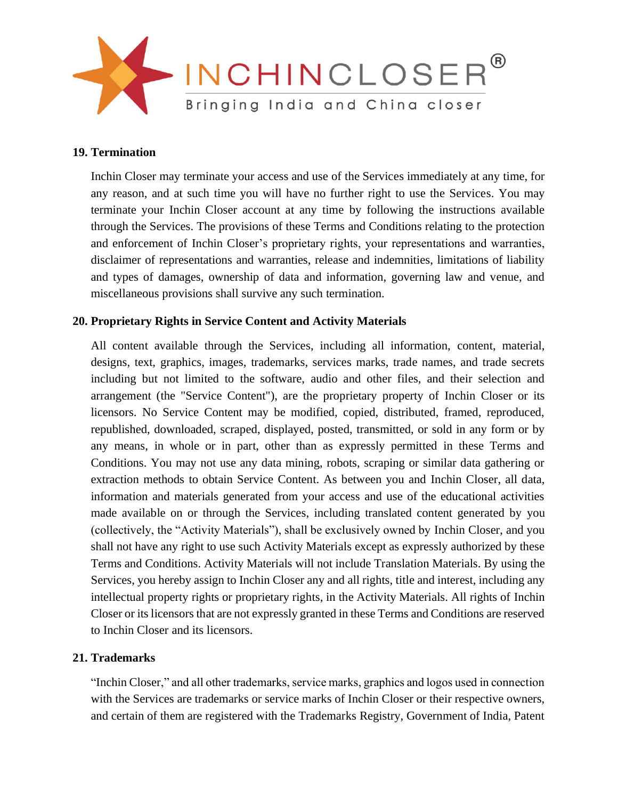

#### **19. Termination**

Inchin Closer may terminate your access and use of the Services immediately at any time, for any reason, and at such time you will have no further right to use the Services. You may terminate your Inchin Closer account at any time by following the instructions available through the Services. The provisions of these Terms and Conditions relating to the protection and enforcement of Inchin Closer's proprietary rights, your representations and warranties, disclaimer of representations and warranties, release and indemnities, limitations of liability and types of damages, ownership of data and information, governing law and venue, and miscellaneous provisions shall survive any such termination.

# **20. Proprietary Rights in Service Content and Activity Materials**

All content available through the Services, including all information, content, material, designs, text, graphics, images, trademarks, services marks, trade names, and trade secrets including but not limited to the software, audio and other files, and their selection and arrangement (the "Service Content"), are the proprietary property of Inchin Closer or its licensors. No Service Content may be modified, copied, distributed, framed, reproduced, republished, downloaded, scraped, displayed, posted, transmitted, or sold in any form or by any means, in whole or in part, other than as expressly permitted in these Terms and Conditions. You may not use any data mining, robots, scraping or similar data gathering or extraction methods to obtain Service Content. As between you and Inchin Closer, all data, information and materials generated from your access and use of the educational activities made available on or through the Services, including translated content generated by you (collectively, the "Activity Materials"), shall be exclusively owned by Inchin Closer, and you shall not have any right to use such Activity Materials except as expressly authorized by these Terms and Conditions. Activity Materials will not include Translation Materials. By using the Services, you hereby assign to Inchin Closer any and all rights, title and interest, including any intellectual property rights or proprietary rights, in the Activity Materials. All rights of Inchin Closer or its licensors that are not expressly granted in these Terms and Conditions are reserved to Inchin Closer and its licensors.

#### **21. Trademarks**

"Inchin Closer," and all other trademarks, service marks, graphics and logos used in connection with the Services are trademarks or service marks of Inchin Closer or their respective owners, and certain of them are registered with the Trademarks Registry, Government of India, Patent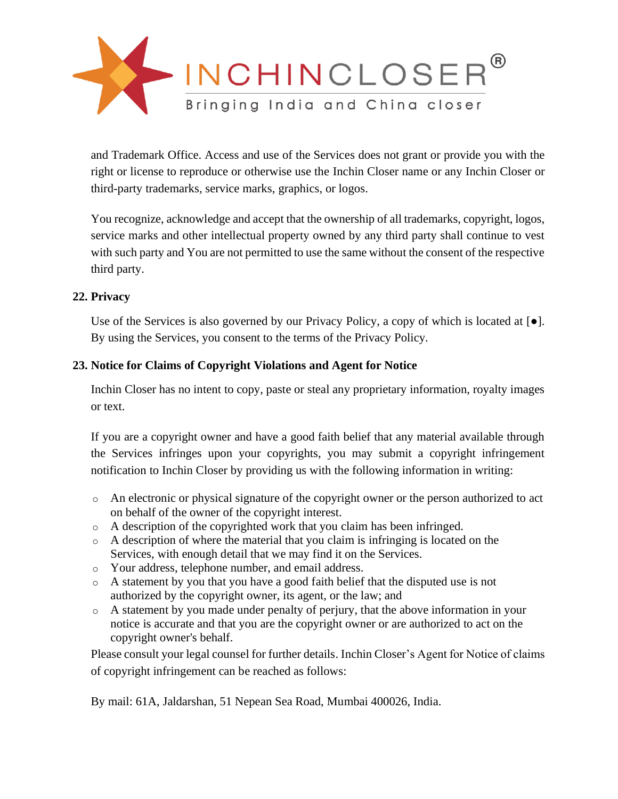

and Trademark Office. Access and use of the Services does not grant or provide you with the right or license to reproduce or otherwise use the Inchin Closer name or any Inchin Closer or third-party trademarks, service marks, graphics, or logos.

You recognize, acknowledge and accept that the ownership of all trademarks, copyright, logos, service marks and other intellectual property owned by any third party shall continue to vest with such party and You are not permitted to use the same without the consent of the respective third party.

# **22. Privacy**

Use of the Services is also governed by our Privacy Policy, a copy of which is located at  $\lceil \bullet \rceil$ . By using the Services, you consent to the terms of the Privacy Policy.

# **23. Notice for Claims of Copyright Violations and Agent for Notice**

Inchin Closer has no intent to copy, paste or steal any proprietary information, royalty images or text.

If you are a copyright owner and have a good faith belief that any material available through the Services infringes upon your copyrights, you may submit a copyright infringement notification to Inchin Closer by providing us with the following information in writing:

- $\circ$  An electronic or physical signature of the copyright owner or the person authorized to act on behalf of the owner of the copyright interest.
- o A description of the copyrighted work that you claim has been infringed.
- $\circ$  A description of where the material that you claim is infringing is located on the Services, with enough detail that we may find it on the Services.
- o Your address, telephone number, and email address.
- o A statement by you that you have a good faith belief that the disputed use is not authorized by the copyright owner, its agent, or the law; and
- o A statement by you made under penalty of perjury, that the above information in your notice is accurate and that you are the copyright owner or are authorized to act on the copyright owner's behalf.

Please consult your legal counsel for further details. Inchin Closer's Agent for Notice of claims of copyright infringement can be reached as follows:

By mail: 61A, Jaldarshan, 51 Nepean Sea Road, Mumbai 400026, India.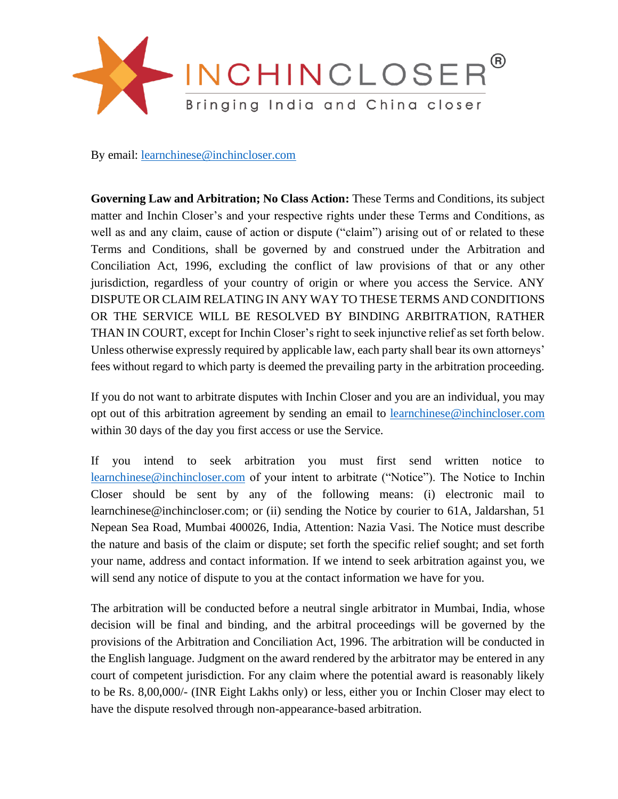

By email: [learnchinese@inchincloser.com](mailto:learnchinese@inchincloser.com)

**Governing Law and Arbitration; No Class Action:** These Terms and Conditions, its subject matter and Inchin Closer's and your respective rights under these Terms and Conditions, as well as and any claim, cause of action or dispute ("claim") arising out of or related to these Terms and Conditions, shall be governed by and construed under the Arbitration and Conciliation Act, 1996, excluding the conflict of law provisions of that or any other jurisdiction, regardless of your country of origin or where you access the Service. ANY DISPUTE OR CLAIM RELATING IN ANY WAY TO THESE TERMS AND CONDITIONS OR THE SERVICE WILL BE RESOLVED BY BINDING ARBITRATION, RATHER THAN IN COURT, except for Inchin Closer's right to seek injunctive relief as set forth below. Unless otherwise expressly required by applicable law, each party shall bear its own attorneys' fees without regard to which party is deemed the prevailing party in the arbitration proceeding.

If you do not want to arbitrate disputes with Inchin Closer and you are an individual, you may opt out of this arbitration agreement by sending an email to [learnchinese@inchincloser.com](mailto:learnchinese@inchincloser.com) within 30 days of the day you first access or use the Service.

If you intend to seek arbitration you must first send written notice to [learnchinese@inchincloser.com](mailto:learnchinese@inchincloser.com) of your intent to arbitrate ("Notice"). The Notice to Inchin Closer should be sent by any of the following means: (i) electronic mail to learnchinese@inchincloser.com; or (ii) sending the Notice by courier to 61A, Jaldarshan, 51 Nepean Sea Road, Mumbai 400026, India, Attention: Nazia Vasi. The Notice must describe the nature and basis of the claim or dispute; set forth the specific relief sought; and set forth your name, address and contact information. If we intend to seek arbitration against you, we will send any notice of dispute to you at the contact information we have for you.

The arbitration will be conducted before a neutral single arbitrator in Mumbai, India, whose decision will be final and binding, and the arbitral proceedings will be governed by the provisions of the Arbitration and Conciliation Act, 1996. The arbitration will be conducted in the English language. Judgment on the award rendered by the arbitrator may be entered in any court of competent jurisdiction. For any claim where the potential award is reasonably likely to be Rs. 8,00,000/- (INR Eight Lakhs only) or less, either you or Inchin Closer may elect to have the dispute resolved through non-appearance-based arbitration.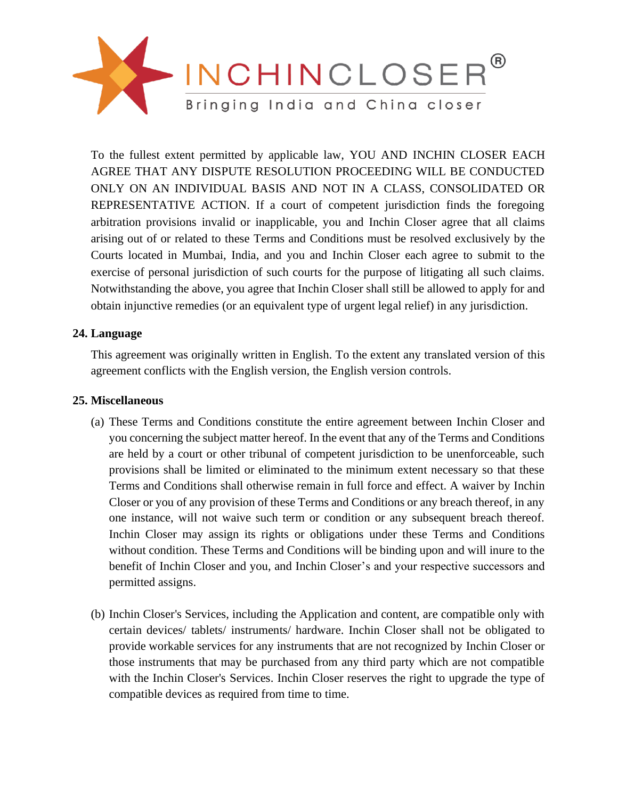

To the fullest extent permitted by applicable law, YOU AND INCHIN CLOSER EACH AGREE THAT ANY DISPUTE RESOLUTION PROCEEDING WILL BE CONDUCTED ONLY ON AN INDIVIDUAL BASIS AND NOT IN A CLASS, CONSOLIDATED OR REPRESENTATIVE ACTION. If a court of competent jurisdiction finds the foregoing arbitration provisions invalid or inapplicable, you and Inchin Closer agree that all claims arising out of or related to these Terms and Conditions must be resolved exclusively by the Courts located in Mumbai, India, and you and Inchin Closer each agree to submit to the exercise of personal jurisdiction of such courts for the purpose of litigating all such claims. Notwithstanding the above, you agree that Inchin Closer shall still be allowed to apply for and obtain injunctive remedies (or an equivalent type of urgent legal relief) in any jurisdiction.

# **24. Language**

This agreement was originally written in English. To the extent any translated version of this agreement conflicts with the English version, the English version controls.

# **25. Miscellaneous**

- (a) These Terms and Conditions constitute the entire agreement between Inchin Closer and you concerning the subject matter hereof. In the event that any of the Terms and Conditions are held by a court or other tribunal of competent jurisdiction to be unenforceable, such provisions shall be limited or eliminated to the minimum extent necessary so that these Terms and Conditions shall otherwise remain in full force and effect. A waiver by Inchin Closer or you of any provision of these Terms and Conditions or any breach thereof, in any one instance, will not waive such term or condition or any subsequent breach thereof. Inchin Closer may assign its rights or obligations under these Terms and Conditions without condition. These Terms and Conditions will be binding upon and will inure to the benefit of Inchin Closer and you, and Inchin Closer's and your respective successors and permitted assigns.
- (b) Inchin Closer's Services, including the Application and content, are compatible only with certain devices/ tablets/ instruments/ hardware. Inchin Closer shall not be obligated to provide workable services for any instruments that are not recognized by Inchin Closer or those instruments that may be purchased from any third party which are not compatible with the Inchin Closer's Services. Inchin Closer reserves the right to upgrade the type of compatible devices as required from time to time.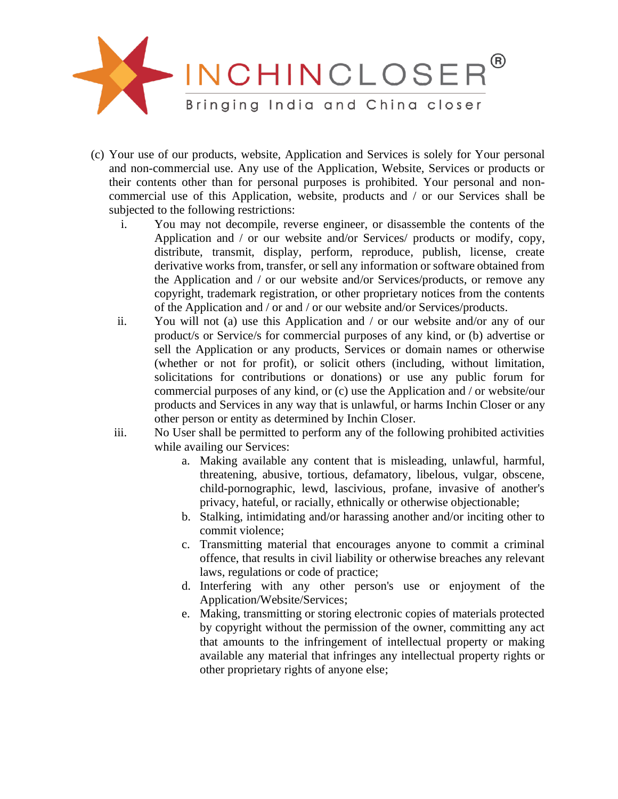

- (c) Your use of our products, website, Application and Services is solely for Your personal and non-commercial use. Any use of the Application, Website, Services or products or their contents other than for personal purposes is prohibited. Your personal and noncommercial use of this Application, website, products and / or our Services shall be subjected to the following restrictions:
	- i. You may not decompile, reverse engineer, or disassemble the contents of the Application and / or our website and/or Services/ products or modify, copy, distribute, transmit, display, perform, reproduce, publish, license, create derivative works from, transfer, or sell any information or software obtained from the Application and / or our website and/or Services/products, or remove any copyright, trademark registration, or other proprietary notices from the contents of the Application and / or and / or our website and/or Services/products.
	- ii. You will not (a) use this Application and / or our website and/or any of our product/s or Service/s for commercial purposes of any kind, or (b) advertise or sell the Application or any products, Services or domain names or otherwise (whether or not for profit), or solicit others (including, without limitation, solicitations for contributions or donations) or use any public forum for commercial purposes of any kind, or (c) use the Application and / or website/our products and Services in any way that is unlawful, or harms Inchin Closer or any other person or entity as determined by Inchin Closer.
	- iii. No User shall be permitted to perform any of the following prohibited activities while availing our Services:
		- a. Making available any content that is misleading, unlawful, harmful, threatening, abusive, tortious, defamatory, libelous, vulgar, obscene, child-pornographic, lewd, lascivious, profane, invasive of another's privacy, hateful, or racially, ethnically or otherwise objectionable;
		- b. Stalking, intimidating and/or harassing another and/or inciting other to commit violence;
		- c. Transmitting material that encourages anyone to commit a criminal offence, that results in civil liability or otherwise breaches any relevant laws, regulations or code of practice;
		- d. Interfering with any other person's use or enjoyment of the Application/Website/Services;
		- e. Making, transmitting or storing electronic copies of materials protected by copyright without the permission of the owner, committing any act that amounts to the infringement of intellectual property or making available any material that infringes any intellectual property rights or other proprietary rights of anyone else;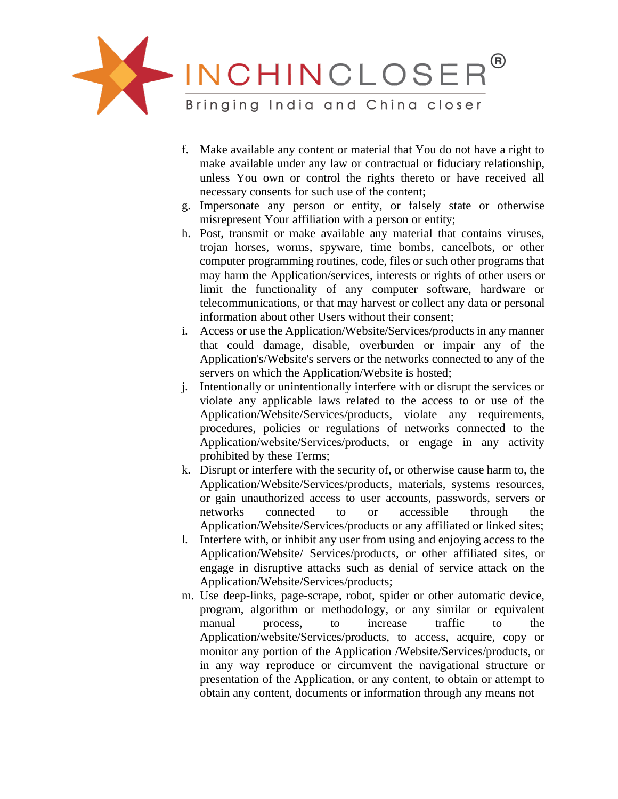

- f. Make available any content or material that You do not have a right to make available under any law or contractual or fiduciary relationship, unless You own or control the rights thereto or have received all necessary consents for such use of the content;
- g. Impersonate any person or entity, or falsely state or otherwise misrepresent Your affiliation with a person or entity;
- h. Post, transmit or make available any material that contains viruses, trojan horses, worms, spyware, time bombs, cancelbots, or other computer programming routines, code, files or such other programs that may harm the Application/services, interests or rights of other users or limit the functionality of any computer software, hardware or telecommunications, or that may harvest or collect any data or personal information about other Users without their consent;
- i. Access or use the Application/Website/Services/products in any manner that could damage, disable, overburden or impair any of the Application's/Website's servers or the networks connected to any of the servers on which the Application/Website is hosted;
- j. Intentionally or unintentionally interfere with or disrupt the services or violate any applicable laws related to the access to or use of the Application/Website/Services/products, violate any requirements, procedures, policies or regulations of networks connected to the Application/website/Services/products, or engage in any activity prohibited by these Terms;
- k. Disrupt or interfere with the security of, or otherwise cause harm to, the Application/Website/Services/products, materials, systems resources, or gain unauthorized access to user accounts, passwords, servers or networks connected to or accessible through the Application/Website/Services/products or any affiliated or linked sites;
- l. Interfere with, or inhibit any user from using and enjoying access to the Application/Website/ Services/products, or other affiliated sites, or engage in disruptive attacks such as denial of service attack on the Application/Website/Services/products;
- m. Use deep-links, page-scrape, robot, spider or other automatic device, program, algorithm or methodology, or any similar or equivalent manual process, to increase traffic to the Application/website/Services/products, to access, acquire, copy or monitor any portion of the Application /Website/Services/products, or in any way reproduce or circumvent the navigational structure or presentation of the Application, or any content, to obtain or attempt to obtain any content, documents or information through any means not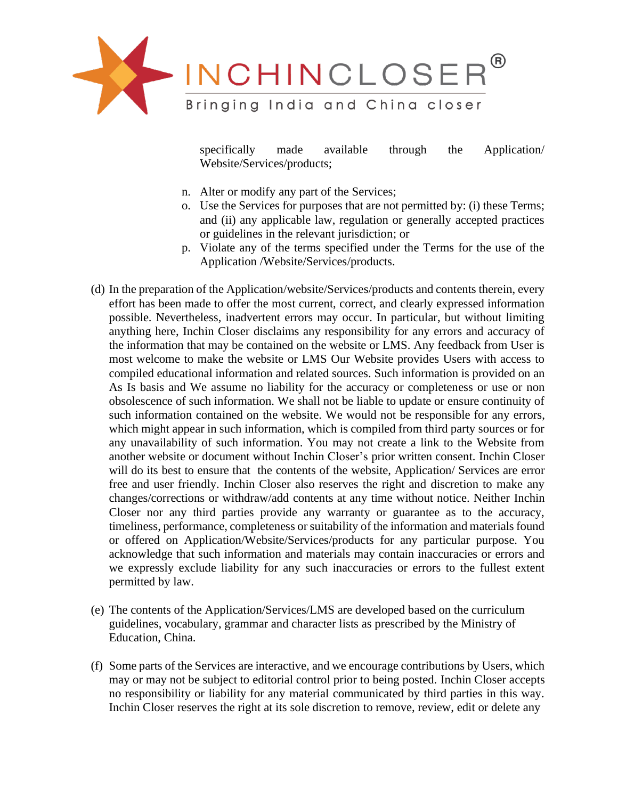

specifically made available through the Application/ Website/Services/products;

- n. Alter or modify any part of the Services;
- o. Use the Services for purposes that are not permitted by: (i) these Terms; and (ii) any applicable law, regulation or generally accepted practices or guidelines in the relevant jurisdiction; or
- p. Violate any of the terms specified under the Terms for the use of the Application /Website/Services/products.
- (d) In the preparation of the Application/website/Services/products and contents therein, every effort has been made to offer the most current, correct, and clearly expressed information possible. Nevertheless, inadvertent errors may occur. In particular, but without limiting anything here, Inchin Closer disclaims any responsibility for any errors and accuracy of the information that may be contained on the website or LMS. Any feedback from User is most welcome to make the website or LMS Our Website provides Users with access to compiled educational information and related sources. Such information is provided on an As Is basis and We assume no liability for the accuracy or completeness or use or non obsolescence of such information. We shall not be liable to update or ensure continuity of such information contained on the website. We would not be responsible for any errors, which might appear in such information, which is compiled from third party sources or for any unavailability of such information. You may not create a link to the Website from another website or document without Inchin Closer's prior written consent. Inchin Closer will do its best to ensure that the contents of the website, Application/ Services are error free and user friendly. Inchin Closer also reserves the right and discretion to make any changes/corrections or withdraw/add contents at any time without notice. Neither Inchin Closer nor any third parties provide any warranty or guarantee as to the accuracy, timeliness, performance, completeness or suitability of the information and materials found or offered on Application/Website/Services/products for any particular purpose. You acknowledge that such information and materials may contain inaccuracies or errors and we expressly exclude liability for any such inaccuracies or errors to the fullest extent permitted by law.
- (e) The contents of the Application/Services/LMS are developed based on the curriculum guidelines, vocabulary, grammar and character lists as prescribed by the Ministry of Education, China.
- (f) Some parts of the Services are interactive, and we encourage contributions by Users, which may or may not be subject to editorial control prior to being posted. Inchin Closer accepts no responsibility or liability for any material communicated by third parties in this way. Inchin Closer reserves the right at its sole discretion to remove, review, edit or delete any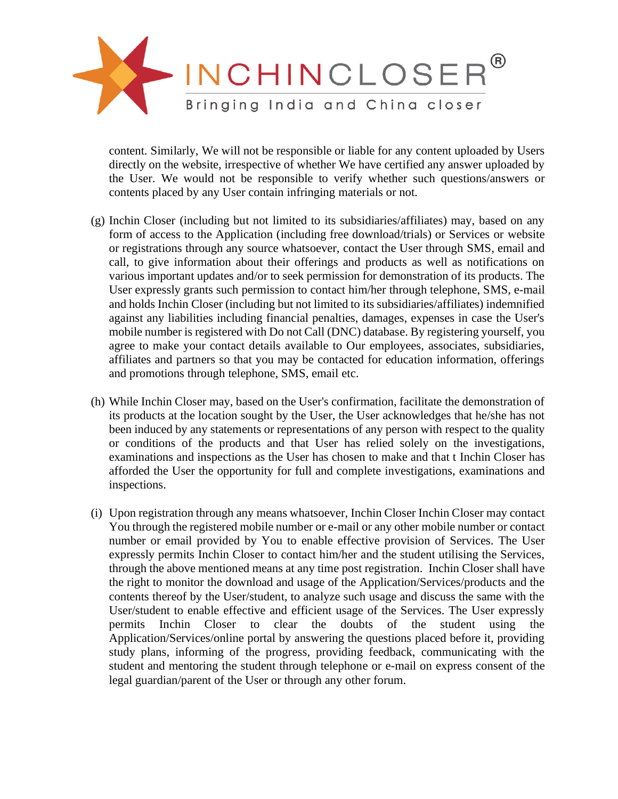

content. Similarly, We will not be responsible or liable for any content uploaded by Users directly on the website, irrespective of whether We have certified any answer uploaded by the User. We would not be responsible to verify whether such questions/answers or contents placed by any User contain infringing materials or not.

- (g) Inchin Closer (including but not limited to its subsidiaries/affiliates) may, based on any form of access to the Application (including free download/trials) or Services or website or registrations through any source whatsoever, contact the User through SMS, email and call, to give information about their offerings and products as well as notifications on various important updates and/or to seek permission for demonstration of its products. The User expressly grants such permission to contact him/her through telephone, SMS, e-mail and holds Inchin Closer (including but not limited to its subsidiaries/affiliates) indemnified against any liabilities including financial penalties, damages, expenses in case the User's mobile number is registered with Do not Call (DNC) database. By registering yourself, you agree to make your contact details available to Our employees, associates, subsidiaries, affiliates and partners so that you may be contacted for education information, offerings and promotions through telephone, SMS, email etc.
- (h) While Inchin Closer may, based on the User's confirmation, facilitate the demonstration of its products at the location sought by the User, the User acknowledges that he/she has not been induced by any statements or representations of any person with respect to the quality or conditions of the products and that User has relied solely on the investigations, examinations and inspections as the User has chosen to make and that t Inchin Closer has afforded the User the opportunity for full and complete investigations, examinations and inspections.
- (i) Upon registration through any means whatsoever, Inchin Closer Inchin Closer may contact You through the registered mobile number or e-mail or any other mobile number or contact number or email provided by You to enable effective provision of Services. The User expressly permits Inchin Closer to contact him/her and the student utilising the Services, through the above mentioned means at any time post registration. Inchin Closer shall have the right to monitor the download and usage of the Application/Services/products and the contents thereof by the User/student, to analyze such usage and discuss the same with the User/student to enable effective and efficient usage of the Services. The User expressly permits Inchin Closer to clear the doubts of the student using the Application/Services/online portal by answering the questions placed before it, providing study plans, informing of the progress, providing feedback, communicating with the student and mentoring the student through telephone or e-mail on express consent of the legal guardian/parent of the User or through any other forum.